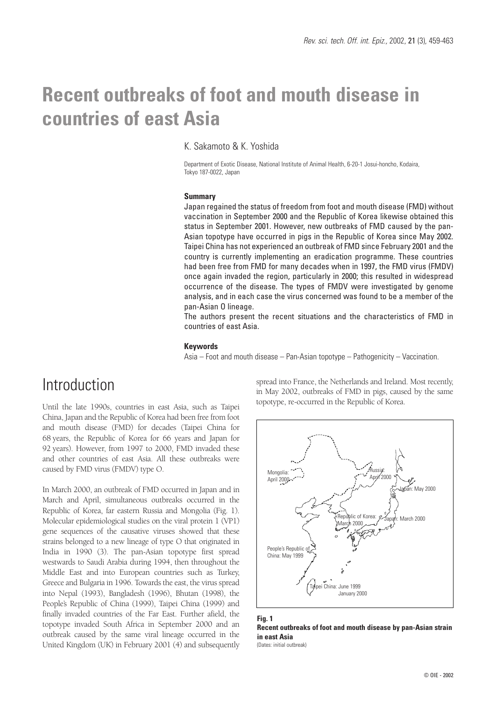# **Recent outbreaks of foot and mouth disease in countries of east Asia**

### K. Sakamoto & K. Yoshida

Department of Exotic Disease, National Institute of Animal Health, 6-20-1 Josui-honcho, Kodaira, Tokyo 187-0022, Japan

### **Summary**

Japan regained the status of freedom from foot and mouth disease (FMD) without vaccination in September 2000 and the Republic of Korea likewise obtained this status in September 2001. However, new outbreaks of FMD caused by the pan-Asian topotype have occurred in pigs in the Republic of Korea since May 2002. Taipei China has not experienced an outbreak of FMD since February 2001 and the country is currently implementing an eradication programme. These countries had been free from FMD for many decades when in 1997, the FMD virus (FMDV) once again invaded the region, particularly in 2000; this resulted in widespread occurrence of the disease. The types of FMDV were investigated by genome analysis, and in each case the virus concerned was found to be a member of the pan-Asian O lineage.

The authors present the recent situations and the characteristics of FMD in countries of east Asia.

### **Keywords**

Asia – Foot and mouth disease – Pan-Asian topotype – Pathogenicity – Vaccination.

### Introduction

Until the late 1990s, countries in east Asia, such as Taipei China, Japan and the Republic of Korea had been free from foot and mouth disease (FMD) for decades (Taipei China for 68 years, the Republic of Korea for 66 years and Japan for 92 years). However, from 1997 to 2000, FMD invaded these and other countries of east Asia. All these outbreaks were caused by FMD virus (FMDV) type O.

In March 2000, an outbreak of FMD occurred in Japan and in March and April, simultaneous outbreaks occurred in the Republic of Korea, far eastern Russia and Mongolia (Fig. 1). Molecular epidemiological studies on the viral protein 1 (VP1) gene sequences of the causative viruses showed that these strains belonged to a new lineage of type O that originated in India in 1990 (3). The pan-Asian topotype first spread westwards to Saudi Arabia during 1994, then throughout the Middle East and into European countries such as Turkey, Greece and Bulgaria in 1996. Towards the east, the virus spread into Nepal (1993), Bangladesh (1996), Bhutan (1998), the People's Republic of China (1999), Taipei China (1999) and finally invaded countries of the Far East. Further afield, the topotype invaded South Africa in September 2000 and an outbreak caused by the same viral lineage occurred in the United Kingdom (UK) in February 2001 (4) and subsequently

spread into France, the Netherlands and Ireland. Most recently, in May 2002, outbreaks of FMD in pigs, caused by the same topotype, re-occurred in the Republic of Korea.



### **Fig. 1 Recent outbreaks of foot and mouth disease by pan-Asian strain in east Asia**

(Dates: initial outbreak)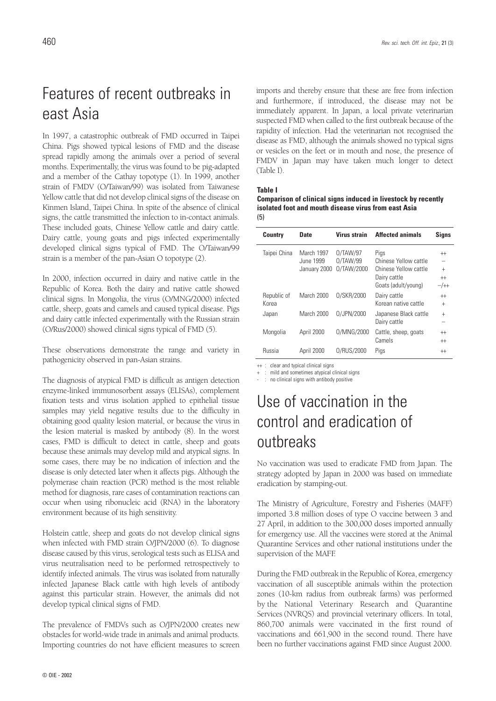# Features of recent outbreaks in east Asia

In 1997, a catastrophic outbreak of FMD occurred in Taipei China. Pigs showed typical lesions of FMD and the disease spread rapidly among the animals over a period of several months. Experimentally, the virus was found to be pig-adapted and a member of the Cathay topotype (1). In 1999, another strain of FMDV (O/Taiwan/99) was isolated from Taiwanese Yellow cattle that did not develop clinical signs of the disease on Kinmen Island, Taipei China. In spite of the absence of clinical signs, the cattle transmitted the infection to in-contact animals. These included goats, Chinese Yellow cattle and dairy cattle. Dairy cattle, young goats and pigs infected experimentally developed clinical signs typical of FMD. The O/Taiwan/99 strain is a member of the pan-Asian O topotype (2).

In 2000, infection occurred in dairy and native cattle in the Republic of Korea. Both the dairy and native cattle showed clinical signs. In Mongolia, the virus (O/MNG/2000) infected cattle, sheep, goats and camels and caused typical disease. Pigs and dairy cattle infected experimentally with the Russian strain (O/Rus/2000) showed clinical signs typical of FMD (5).

These observations demonstrate the range and variety in pathogenicity observed in pan-Asian strains.

The diagnosis of atypical FMD is difficult as antigen detection enzyme-linked immunosorbent assays (ELISAs), complement fixation tests and virus isolation applied to epithelial tissue samples may yield negative results due to the difficulty in obtaining good quality lesion material, or because the virus in the lesion material is masked by antibody (8). In the worst cases, FMD is difficult to detect in cattle, sheep and goats because these animals may develop mild and atypical signs. In some cases, there may be no indication of infection and the disease is only detected later when it affects pigs. Although the polymerase chain reaction (PCR) method is the most reliable method for diagnosis, rare cases of contamination reactions can occur when using ribonucleic acid (RNA) in the laboratory environment because of its high sensitivity.

Holstein cattle, sheep and goats do not develop clinical signs when infected with FMD strain O/JPN/2000 (6). To diagnose disease caused by this virus, serological tests such as ELISA and virus neutralisation need to be performed retrospectively to identify infected animals. The virus was isolated from naturally infected Japanese Black cattle with high levels of antibody against this particular strain. However, the animals did not develop typical clinical signs of FMD.

The prevalence of FMDVs such as O/JPN/2000 creates new obstacles for world-wide trade in animals and animal products. Importing countries do not have efficient measures to screen imports and thereby ensure that these are free from infection and furthermore, if introduced, the disease may not be immediately apparent. In Japan, a local private veterinarian suspected FMD when called to the first outbreak because of the rapidity of infection. Had the veterinarian not recognised the disease as FMD, although the animals showed no typical signs or vesicles on the feet or in mouth and nose, the presence of FMDV in Japan may have taken much longer to detect (Table I).

### **Table I**

**Comparison of clinical signs induced in livestock by recently isolated foot and mouth disease virus from east Asia** (5)

| <b>Country</b>       | Date                                    | Virus strain                       | <b>Affected animals</b>                                                                       | <b>Signs</b>                       |
|----------------------|-----------------------------------------|------------------------------------|-----------------------------------------------------------------------------------------------|------------------------------------|
| Taipei China         | March 1997<br>June 1999<br>January 2000 | 0/TAW/97<br>0/TAW/99<br>0/TAW/2000 | Pigs<br>Chinese Yellow cattle<br>Chinese Yellow cattle<br>Dairy cattle<br>Goats (adult/young) | $^{++}$<br>$+$<br>$^{++}$<br>$-/+$ |
| Republic of<br>Korea | March 2000                              | 0/SKR/2000                         | Dairy cattle<br>Korean native cattle                                                          | $^{++}$<br>$+$                     |
| Japan                | March 2000                              | 0/JPN/2000                         | Japanese Black cattle<br>Dairy cattle                                                         | $\ddot{}$                          |
| Mongolia             | April 2000                              | 0/MNG/2000                         | Cattle, sheep, goats<br>Camels                                                                | $^{++}$<br>$^{++}$                 |
| <b>Russia</b>        | April 2000                              | 0/RUS/2000                         | Pigs                                                                                          | $^{++}$                            |

++ : clear and typical clinical signs

- : no clinical signs with antibody positive

## Use of vaccination in the control and eradication of outbreaks

No vaccination was used to eradicate FMD from Japan. The strategy adopted by Japan in 2000 was based on immediate eradication by stamping-out.

The Ministry of Agriculture, Forestry and Fisheries (MAFF) imported 3.8 million doses of type O vaccine between 3 and 27 April, in addition to the 300,000 doses imported annually for emergency use. All the vaccines were stored at the Animal Quarantine Services and other national institutions under the supervision of the MAFF.

During the FMD outbreak in the Republic of Korea, emergency vaccination of all susceptible animals within the protection zones (10-km radius from outbreak farms) was performed by the National Veterinary Research and Quarantine Services (NVRQS) and provincial veterinary officers. In total, 860,700 animals were vaccinated in the first round of vaccinations and 661,900 in the second round. There have been no further vaccinations against FMD since August 2000.

<sup>+ :</sup> mild and sometimes atypical clinical signs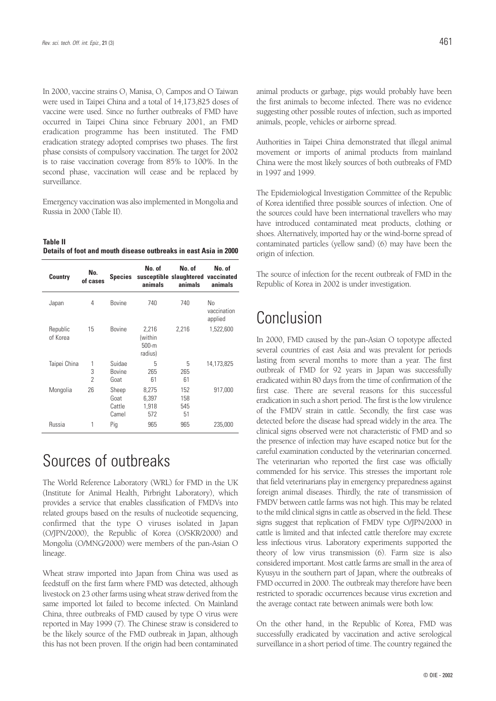In 2000, vaccine strains  $O_1$  Manisa,  $O_1$  Campos and O Taiwan were used in Taipei China and a total of 14,173,825 doses of vaccine were used. Since no further outbreaks of FMD have occurred in Taipei China since February 2001, an FMD eradication programme has been instituted. The FMD eradication strategy adopted comprises two phases. The first phase consists of compulsory vaccination. The target for 2002 is to raise vaccination coverage from 85% to 100%. In the second phase, vaccination will cease and be replaced by surveillance.

Emergency vaccination was also implemented in Mongolia and Russia in 2000 (Table II).

**Table II Details of foot and mouth disease outbreaks in east Asia in 2000**

| <b>Country</b>       | No.<br>of cases         | <b>Species</b>                   | No. of<br>animals                      | No. of<br>susceptible slaughtered vaccinated<br>animals | No. of<br>animals            |
|----------------------|-------------------------|----------------------------------|----------------------------------------|---------------------------------------------------------|------------------------------|
| Japan                | 4                       | <b>Bovine</b>                    | 740                                    | 740                                                     | No<br>vaccination<br>applied |
| Republic<br>of Korea | 15                      | <b>Bovine</b>                    | 2,216<br>(within<br>$500-m$<br>radius) | 2,216                                                   | 1,522,600                    |
| Taipei China         | 1<br>3<br>$\mathcal{P}$ | Suidae<br><b>Bovine</b><br>Goat  | 5<br>265<br>61                         | 5<br>265<br>61                                          | 14,173,825                   |
| Mongolia             | 26                      | Sheep<br>Goat<br>Cattle<br>Camel | 8,275<br>6.397<br>1,918<br>572         | 152<br>158<br>545<br>51                                 | 917,000                      |
| <b>Russia</b>        | 1                       | Pig                              | 965                                    | 965                                                     | 235,000                      |

## Sources of outbreaks

The World Reference Laboratory (WRL) for FMD in the UK (Institute for Animal Health, Pirbright Laboratory), which provides a service that enables classification of FMDVs into related groups based on the results of nucleotide sequencing, confirmed that the type O viruses isolated in Japan (O/JPN/2000), the Republic of Korea (O/SKR/2000) and Mongolia (O/MNG/2000) were members of the pan-Asian O lineage.

Wheat straw imported into Japan from China was used as feedstuff on the first farm where FMD was detected, although livestock on 23 other farms using wheat straw derived from the same imported lot failed to become infected. On Mainland China, three outbreaks of FMD caused by type O virus were reported in May 1999 (7). The Chinese straw is considered to be the likely source of the FMD outbreak in Japan, although this has not been proven. If the origin had been contaminated

animal products or garbage, pigs would probably have been the first animals to become infected. There was no evidence suggesting other possible routes of infection, such as imported animals, people, vehicles or airborne spread.

Authorities in Taipei China demonstrated that illegal animal movement or imports of animal products from mainland China were the most likely sources of both outbreaks of FMD in 1997 and 1999.

The Epidemiological Investigation Committee of the Republic of Korea identified three possible sources of infection. One of the sources could have been international travellers who may have introduced contaminated meat products, clothing or shoes. Alternatively, imported hay or the wind-borne spread of contaminated particles (yellow sand) (6) may have been the origin of infection.

The source of infection for the recent outbreak of FMD in the Republic of Korea in 2002 is under investigation.

## Conclusion

In 2000, FMD caused by the pan-Asian O topotype affected several countries of east Asia and was prevalent for periods lasting from several months to more than a year. The first outbreak of FMD for 92 years in Japan was successfully eradicated within 80 days from the time of confirmation of the first case. There are several reasons for this successful eradication in such a short period. The first is the low virulence of the FMDV strain in cattle. Secondly, the first case was detected before the disease had spread widely in the area. The clinical signs observed were not characteristic of FMD and so the presence of infection may have escaped notice but for the careful examination conducted by the veterinarian concerned. The veterinarian who reported the first case was officially commended for his service. This stresses the important role that field veterinarians play in emergency preparedness against foreign animal diseases. Thirdly, the rate of transmission of FMDV between cattle farms was not high. This may be related to the mild clinical signs in cattle as observed in the field. These signs suggest that replication of FMDV type O/JPN/2000 in cattle is limited and that infected cattle therefore may excrete less infectious virus. Laboratory experiments supported the theory of low virus transmission (6). Farm size is also considered important. Most cattle farms are small in the area of Kyusyu in the southern part of Japan, where the outbreaks of FMD occurred in 2000. The outbreak may therefore have been restricted to sporadic occurrences because virus excretion and the average contact rate between animals were both low.

On the other hand, in the Republic of Korea, FMD was successfully eradicated by vaccination and active serological surveillance in a short period of time. The country regained the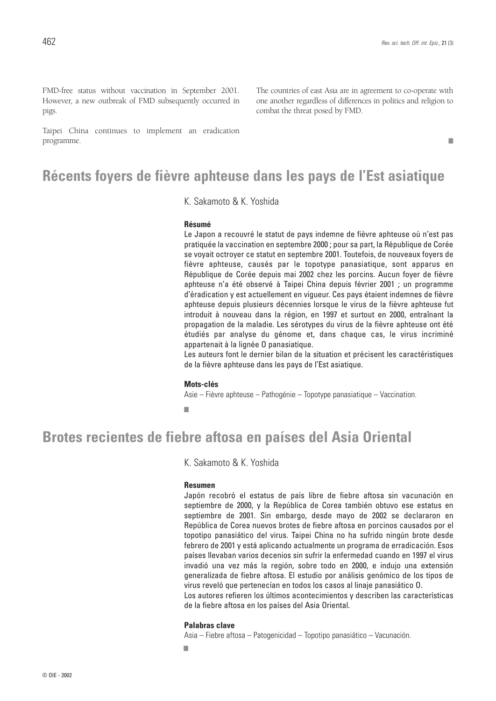The countries of east Asia are in agreement to co-operate with one another regardless of differences in politics and religion to

FMD-free status without vaccination in September 2001. However, a new outbreak of FMD subsequently occurred in pigs.

Taipei China continues to implement an eradication programme.

### **Récents foyers de fièvre aphteuse dans les pays de l'Est asiatique**

K. Sakamoto & K. Yoshida

### **Résumé**

Le Japon a recouvré le statut de pays indemne de fièvre aphteuse où n'est pas pratiquée la vaccination en septembre 2000 ; pour sa part, la République de Corée se voyait octroyer ce statut en septembre 2001. Toutefois, de nouveaux foyers de fièvre aphteuse, causés par le topotype panasiatique, sont apparus en République de Corée depuis mai 2002 chez les porcins. Aucun foyer de fièvre aphteuse n'a été observé à Taipei China depuis février 2001 ; un programme d'éradication y est actuellement en vigueur. Ces pays étaient indemnes de fièvre aphteuse depuis plusieurs décennies lorsque le virus de la fièvre aphteuse fut introduit à nouveau dans la région, en 1997 et surtout en 2000, entraînant la propagation de la maladie. Les sérotypes du virus de la fièvre aphteuse ont été étudiés par analyse du génome et, dans chaque cas, le virus incriminé appartenait à la lignée O panasiatique.

combat the threat posed by FMD.

Les auteurs font le dernier bilan de la situation et précisent les caractéristiques de la fièvre aphteuse dans les pays de l'Est asiatique.

#### **Mots-clés**

Asie – Fièvre aphteuse – Pathogénie – Topotype panasiatique – Vaccination.

■

### **Brotes recientes de fiebre aftosa en países del Asia Oriental**

K. Sakamoto & K. Yoshida

#### **Resumen**

Japón recobró el estatus de país libre de fiebre aftosa sin vacunación en septiembre de 2000, y la República de Corea también obtuvo ese estatus en septiembre de 2001. Sin embargo, desde mayo de 2002 se declararon en República de Corea nuevos brotes de fiebre aftosa en porcinos causados por el topotipo panasiático del virus. Taipei China no ha sufrido ningún brote desde febrero de 2001 y está aplicando actualmente un programa de erradicación. Esos países llevaban varios decenios sin sufrir la enfermedad cuando en 1997 el virus invadió una vez más la región, sobre todo en 2000, e indujo una extensión generalizada de fiebre aftosa. El estudio por análisis genómico de los tipos de virus reveló que pertenecían en todos los casos al linaje panasiático O.

Los autores refieren los últimos acontecimientos y describen las características de la fiebre aftosa en los países del Asia Oriental.

### **Palabras clave**

Asia – Fiebre aftosa – Patogenicidad – Topotipo panasiático – Vacunación.

■